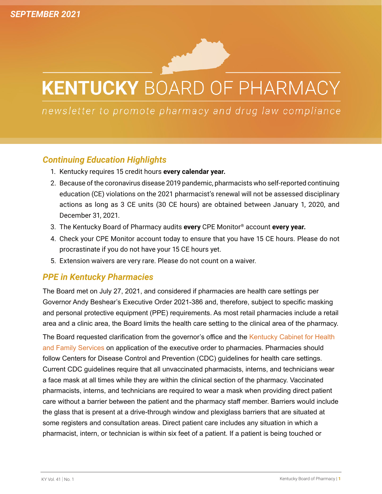# **KENTUCKY BOARD OF PHARMACY**

newsletter to promote pharmacy and drug law compliance

## *Continuing Education Highlights*

- 1. Kentucky requires 15 credit hours **every calendar year.**
- 2. Because of the coronavirus disease 2019 pandemic, pharmacists who self-reported continuing education (CE) violations on the 2021 pharmacist's renewal will not be assessed disciplinary actions as long as 3 CE units (30 CE hours) are obtained between January 1, 2020, and December 31, 2021.
- 3. The Kentucky Board of Pharmacy audits **every** CPE Monitor® account **every year.**
- 4. Check your CPE Monitor account today to ensure that you have 15 CE hours. Please do not procrastinate if you do not have your 15 CE hours yet.
- 5. Extension waivers are very rare. Please do not count on a waiver.

### *PPE in Kentucky Pharmacies*

The Board met on July 27, 2021, and considered if pharmacies are health care settings per Governor Andy Beshear's Executive Order 2021-386 and, therefore, subject to specific masking and personal protective equipment (PPE) requirements. As most retail pharmacies include a retail area and a clinic area, the Board limits the health care setting to the clinical area of the pharmacy.

The Board requested clarification from the governor's office and the [Kentucky Cabinet for Health](https://chfs.ky.gov/Pages/index.aspx) [and Family Services](https://chfs.ky.gov/Pages/index.aspx) on application of the executive order to pharmacies. Pharmacies should follow Centers for Disease Control and Prevention (CDC) guidelines for health care settings. Current CDC guidelines require that all unvaccinated pharmacists, interns, and technicians wear a face mask at all times while they are within the clinical section of the pharmacy. Vaccinated pharmacists, interns, and technicians are required to wear a mask when providing direct patient care without a barrier between the patient and the pharmacy staff member. Barriers would include the glass that is present at a drive-through window and plexiglass barriers that are situated at some registers and consultation areas. Direct patient care includes any situation in which a pharmacist, intern, or technician is within six feet of a patient. If a patient is being touched or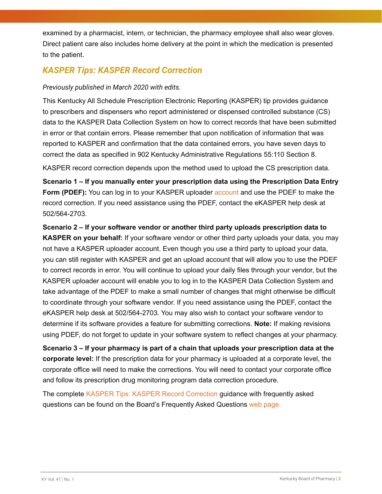examined by a pharmacist, intern, or technician, the pharmacy employee shall also wear gloves. Direct patient care also includes home delivery at the point in which the medication is presented to the patient.

## *KASPER Tips: KASPER Record Correction*

#### *Previously published in March 2020 with edits.*

This Kentucky All Schedule Prescription Electronic Reporting (KASPER) tip provides guidance to prescribers and dispensers who report administered or dispensed controlled substance (CS) data to the KASPER Data Collection System on how to correct records that have been submitted in error or that contain errors. Please remember that upon notification of information that was reported to KASPER and confirmation that the data contained errors, you have seven days to correct the data as specified in 902 Kentucky Administrative Regulations 55:110 Section 8.

KASPER record correction depends upon the method used to upload the CS prescription data.

**Scenario 1 – If you manually enter your prescription data using the Prescription Data Entry Form (PDEF):** You can log in to your KASPER uploader **account** and use the PDEF to make the record correction. If you need assistance using the PDEF, contact the eKASPER help desk at 502/564-2703.

**Scenario 2 – If your software vendor or another third party uploads prescription data to KASPER on your behalf:** If your software vendor or other third party uploads your data, you may not have a KASPER uploader account. Even though you use a third party to upload your data, you can still register with KASPER and get an upload account that will allow you to use the PDEF to correct records in error. You will continue to upload your daily files through your vendor, but the KASPER uploader account will enable you to log in to the KASPER Data Collection System and take advantage of the PDEF to make a small number of changes that might otherwise be difficult to coordinate through your software vendor. If you need assistance using the PDEF, contact the eKASPER help desk at 502/564-2703. You may also wish to contact your software vendor to determine if its software provides a feature for submitting corrections. **Note:** If making revisions using PDEF, do not forget to update in your software system to reflect changes at your pharmacy.

**Scenario 3 – If your pharmacy is part of a chain that uploads your prescription data at the corporate level:** If the prescription data for your pharmacy is uploaded at a corporate level, the corporate office will need to make the corrections. You will need to contact your corporate office and follow its prescription drug monitoring program data correction procedure.

The complete [KASPER Tips: KASPER Record Correction](https://chfs.ky.gov/agencies/os/oig/dai/deppb/Documents/KASPERTipsKASPERRecordCorrection.pdf) guidance with frequently asked questions can be found on the Board's Frequently Asked Questions [web page.](https://pharmacy.ky.gov/Pages/Frequently-Asked-Questions.aspx)